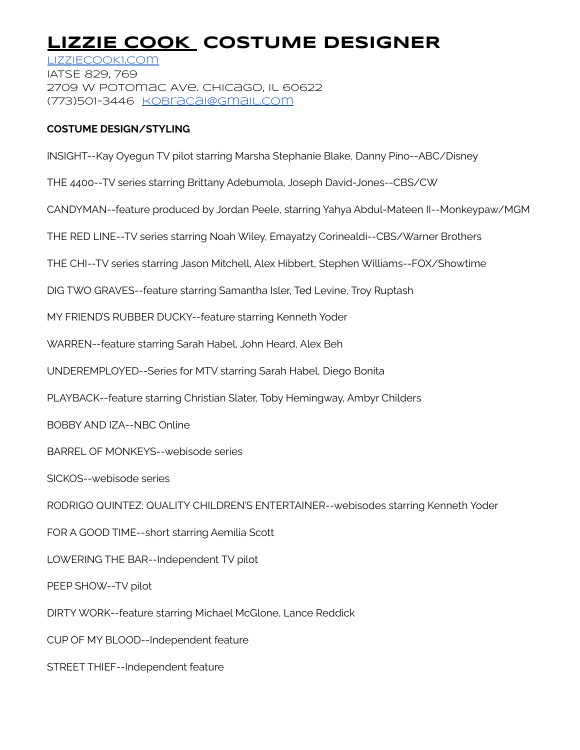# **LIZZIE COOK COSTUME DESIGNER**

[LIZZIECOOK1.com](http://lizziecook1.com) IATSE 829, 769 2709 W Potomac Ave. Chicago, il 60622 (773)501-3446 [kobracai@gmail.com](mailto:kobracai@gmail.com)

## **COSTUME DESIGN/STYLING**

INSIGHT--Kay Oyegun TV pilot starring Marsha Stephanie Blake, Danny Pino--ABC/Disney

THE 4400--TV series starring Brittany Adebumola, Joseph David-Jones--CBS/CW

CANDYMAN--feature produced by Jordan Peele, starring Yahya Abdul-Mateen II--Monkeypaw/MGM

THE RED LINE--TV series starring Noah Wiley, Emayatzy Corinealdi--CBS/Warner Brothers

THE CHI--TV series starring Jason Mitchell, Alex Hibbert, Stephen Williams--FOX/Showtime

DIG TWO GRAVES--feature starring Samantha Isler, Ted Levine, Troy Ruptash

MY FRIEND'S RUBBER DUCKY--feature starring Kenneth Yoder

WARREN--feature starring Sarah Habel, John Heard, Alex Beh

UNDEREMPLOYED--Series for MTV starring Sarah Habel, Diego Bonita

PLAYBACK--feature starring Christian Slater, Toby Hemingway, Ambyr Childers

BOBBY AND IZA--NBC Online

BARREL OF MONKEYS--webisode series

SICKOS--webisode series

RODRIGO QUINTEZ: QUALITY CHILDREN'S ENTERTAINER--webisodes starring Kenneth Yoder

FOR A GOOD TIME--short starring Aemilia Scott

LOWERING THE BAR--Independent TV pilot

PEEP SHOW--TV pilot

DIRTY WORK--feature starring Michael McGlone, Lance Reddick

CUP OF MY BLOOD--Independent feature

STREET THIEF--Independent feature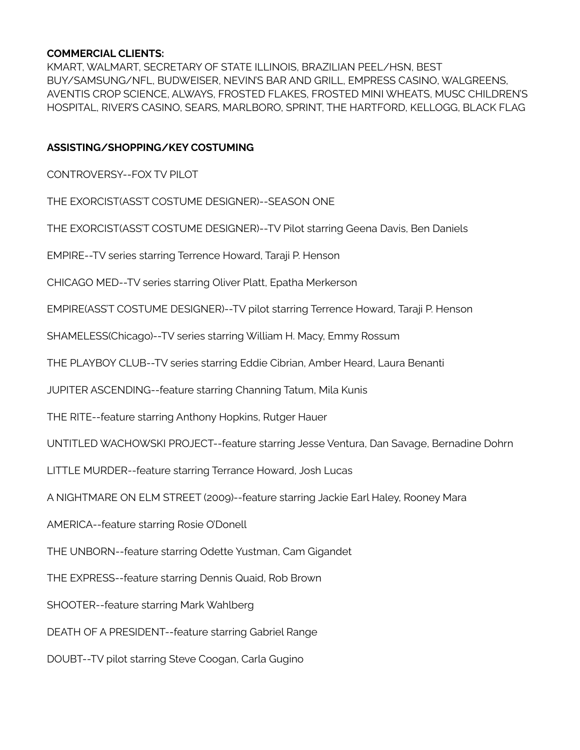## **COMMERCIAL CLIENTS:**

KMART, WALMART, SECRETARY OF STATE ILLINOIS, BRAZILIAN PEEL/HSN, BEST BUY/SAMSUNG/NFL, BUDWEISER, NEVIN'S BAR AND GRILL, EMPRESS CASINO, WALGREENS, AVENTIS CROP SCIENCE, ALWAYS, FROSTED FLAKES, FROSTED MINI WHEATS, MUSC CHILDREN'S HOSPITAL, RIVER'S CASINO, SEARS, MARLBORO, SPRINT, THE HARTFORD, KELLOGG, BLACK FLAG

## **ASSISTING/SHOPPING/KEY COSTUMING**

CONTROVERSY--FOX TV PILOT

THE EXORCIST(ASS'T COSTUME DESIGNER)--SEASON ONE

THE EXORCIST(ASS'T COSTUME DESIGNER)--TV Pilot starring Geena Davis, Ben Daniels

EMPIRE--TV series starring Terrence Howard, Taraji P. Henson

CHICAGO MED--TV series starring Oliver Platt, Epatha Merkerson

EMPIRE(ASS'T COSTUME DESIGNER)--TV pilot starring Terrence Howard, Taraji P. Henson

SHAMELESS(Chicago)--TV series starring William H. Macy, Emmy Rossum

THE PLAYBOY CLUB--TV series starring Eddie Cibrian, Amber Heard, Laura Benanti

JUPITER ASCENDING--feature starring Channing Tatum, Mila Kunis

THE RITE--feature starring Anthony Hopkins, Rutger Hauer

UNTITLED WACHOWSKI PROJECT--feature starring Jesse Ventura, Dan Savage, Bernadine Dohrn

LITTLE MURDER--feature starring Terrance Howard, Josh Lucas

A NIGHTMARE ON ELM STREET (2009)--feature starring Jackie Earl Haley, Rooney Mara

AMERICA--feature starring Rosie O'Donell

THE UNBORN--feature starring Odette Yustman, Cam Gigandet

THE EXPRESS--feature starring Dennis Quaid, Rob Brown

SHOOTER--feature starring Mark Wahlberg

DEATH OF A PRESIDENT--feature starring Gabriel Range

DOUBT--TV pilot starring Steve Coogan, Carla Gugino